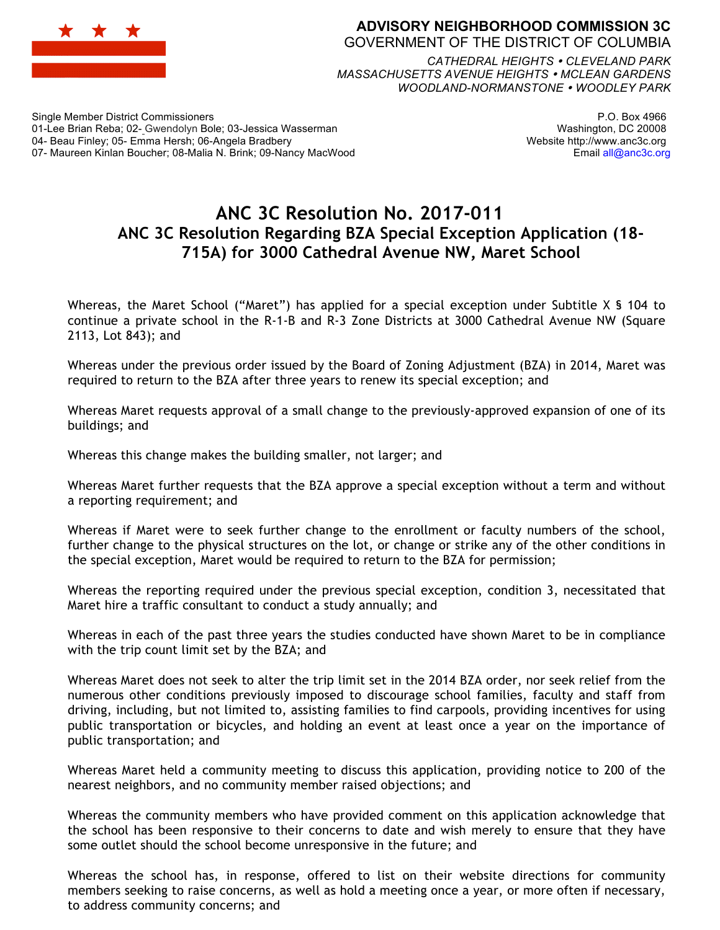

## **ADVISORY NEIGHBORHOOD COMMISSION 3C** GOVERNMENT OF THE DISTRICT OF COLUMBIA

*CATHEDRAL HEIGHTS CLEVELAND PARK MASSACHUSETTS AVENUE HEIGHTS MCLEAN GARDENS WOODLAND-NORMANSTONE WOODLEY PARK*

Single Member District Commissioners 01-Lee Brian Reba; 02- Gwendolyn Bole; 03-Jessica Wasserman 04- Beau Finley; 05- Emma Hersh; 06-Angela Bradbery 07- Maureen Kinlan Boucher; 08-Malia N. Brink; 09-Nancy MacWood

P.O. Box 4966 Washington, DC 20008 Website http://www.anc3c.org Email all@anc3c.org

## **ANC 3C Resolution No. 2017-011 ANC 3C Resolution Regarding BZA Special Exception Application (18- 715A) for 3000 Cathedral Avenue NW, Maret School**

Whereas, the Maret School ("Maret") has applied for a special exception under Subtitle X § 104 to continue a private school in the R-1-B and R-3 Zone Districts at 3000 Cathedral Avenue NW (Square 2113, Lot 843); and

Whereas under the previous order issued by the Board of Zoning Adjustment (BZA) in 2014, Maret was required to return to the BZA after three years to renew its special exception; and

Whereas Maret requests approval of a small change to the previously-approved expansion of one of its buildings; and

Whereas this change makes the building smaller, not larger; and

Whereas Maret further requests that the BZA approve a special exception without a term and without a reporting requirement; and

Whereas if Maret were to seek further change to the enrollment or faculty numbers of the school, further change to the physical structures on the lot, or change or strike any of the other conditions in the special exception, Maret would be required to return to the BZA for permission;

Whereas the reporting required under the previous special exception, condition 3, necessitated that Maret hire a traffic consultant to conduct a study annually; and

Whereas in each of the past three years the studies conducted have shown Maret to be in compliance with the trip count limit set by the BZA; and

Whereas Maret does not seek to alter the trip limit set in the 2014 BZA order, nor seek relief from the numerous other conditions previously imposed to discourage school families, faculty and staff from driving, including, but not limited to, assisting families to find carpools, providing incentives for using public transportation or bicycles, and holding an event at least once a year on the importance of public transportation; and

Whereas Maret held a community meeting to discuss this application, providing notice to 200 of the nearest neighbors, and no community member raised objections; and

Whereas the community members who have provided comment on this application acknowledge that the school has been responsive to their concerns to date and wish merely to ensure that they have some outlet should the school become unresponsive in the future; and

Whereas the school has, in response, offered to list on their website directions for community members seeking to raise concerns, as well as hold a meeting once a year, or more often if necessary, to address community concerns; and